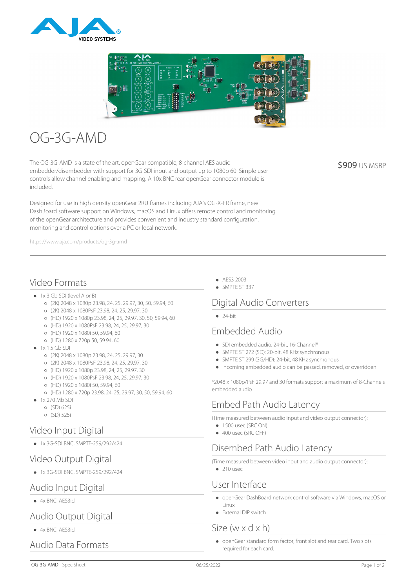



# OG-3G-AMD

The OG-3G-AMD is a state of the art, openGear compatible, 8-channel AES audio embedder/disembedder with support for 3G-SDI input and output up to 1080p 60. Simple user controls allow channel enabling and mapping. A 10x BNC rear openGear connector module is included.

**\$909 US MSRP** 

Designed for use in high density openGear 2RU frames including AJA's OG-X-FR frame, new DashBoard software support on Windows, macOS and Linux offers remote control and monitoring of the openGear architecture and provides convenient and industry standard configuration, monitoring and control options over a PC or local network.

https://www.aja.com/products/og-3g-amd

# Video Formats

- 1x 3 Gb SDI (level A or B)
	- (2K) 2048 x 1080p 23.98, 24, 25, 29.97, 30, 50, 59.94, 60
	- (2K) 2048 x 1080PsF 23.98, 24, 25, 29.97, 30
	- (HD) 1920 x 1080p 23.98, 24, 25, 29.97, 30, 50, 59.94, 60
	- (HD) 1920 x 1080PsF 23.98, 24, 25, 29.97, 30
	- (HD) 1920 x 1080i 50, 59.94, 60
	- (HD) 1280 x 720p 50, 59.94, 60
- $\bullet$  1x 1.5 Gb SDI
	- (2K) 2048 x 1080p 23.98, 24, 25, 29.97, 30
	- (2K) 2048 x 1080PsF 23.98, 24, 25, 29.97, 30
	- (HD) 1920 x 1080p 23.98, 24, 25, 29.97, 30
	- (HD) 1920 x 1080PsF 23.98, 24, 25, 29.97, 30
	- (HD) 1920 x 1080i 50, 59.94, 60
	- (HD) 1280 x 720p 23.98, 24, 25, 29.97, 30, 50, 59.94, 60
- 1x 270 Mb SDI
	- (SD) 625i
	- (SD) 525i

## Video Input Digital

1x 3G-SDI BNC, SMPTE-259/292/424

# Video Output Digital

1x 3G-SDI BNC, SMPTE-259/292/424

## Audio Input Digital

4x BNC, AES3id

## Audio Output Digital

4x BNC, AES3id

Audio Data Formats

- AES3 2003
- SMPTE ST 337

# Digital Audio Converters

 $\bullet$  24-bit

# Embedded Audio

- SDI embedded audio, 24-bit, 16-Channel\*
- SMPTE ST 272 (SD): 20-bit, 48 KHz synchronous
- SMPTE ST 299 (3G/HD): 24-bit, 48 KHz synchronous
- Incoming embedded audio can be passed, removed, or overridden

\*2048 x 1080p/PsF 29.97 and 30 formats support a maximum of 8-Channels embedded audio

## Embed Path Audio Latency

(Time measured between audio input and video output connector):

- $\bullet$  1500 usec (SRC ON)
- 400 usec (SRC OFF)

# Disembed Path Audio Latency

(Time measured between video input and audio output connector):

 $\bullet$  210 usec

## User Interface

- openGear DashBoard network control software via Windows, macOS or Linux
- External DIP switch

## Size (w x d x h)

openGear standard form factor, front slot and rear card. Two slots required for each card.